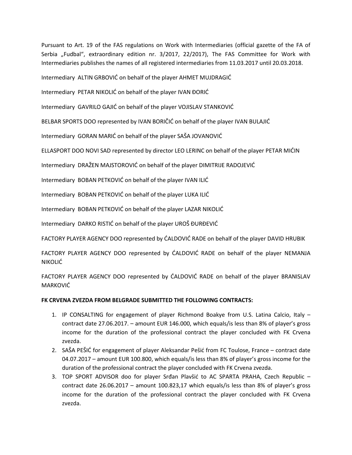Pursuant to Art. 19 of the FAS regulations on Work with Intermediaries (official gazette of the FA of Serbia "Fudbal", extraordinary edition nr. 3/2017, 22/2017), The FAS Committee for Work with Intermediaries publishes the names of all registered intermediaries from 11.03.2017 until 20.03.2018.

Intermediary ALTIN GRBOVIC on behalf of the player AHMET MUJDRAGIC

Intermediary PETAR NIKOLIĆ on behalf of the player IVAN ĐORIĆ

Intermediary GAVRILO GAJIĆ on behalf of the player VOJISLAV STANKOVIĆ

BELBAR SPORTS DOO represented by IVAN BORIČIĆ on behalf of the player IVAN BULAJIĆ

Intermediary GORAN MARIC on behalf of the player SASA JOVANOVIC

ELLASPORT DOO NOVI SAD represented by director LEO LERINC on behalf of the player PETAR MICIN

Intermediary DRAŽEN MAJSTOROVIĆ on behalf of the player DIMITRIJE RADOJEVIĆ

Intermediary BOBAN PETKOVIĆ on behalf of the player IVAN ILIĆ

Intermediary BOBAN PETKOVIĆ on behalf of the player LUKA ILIĆ

Intermediary BOBAN PETKOVIĆ on behalf of the player LAZAR NIKOLIĆ

Intermediary DARKO RISTIĆ on behalf of the player UROŠ ĐURĐEVIĆ

FACTORY PLAYER AGENCY DOO represented by CALDOVIC RADE on behalf of the player DAVID HRUBIK

FACTORY PLAYER AGENCY DOO represented by CALDOVIC RADE on behalf of the player NEMANJA **NIKOLIĆ** 

FACTORY PLAYER AGENCY DOO represented by CALDOVIC RADE on behalf of the player BRANISLAV MARKOVIĆ

# **FK CRVENA ZVEZDA FROM BELGRADE SUBMITTED THE FOLLOWING CONTRACTS:**

- 1. IP CONSALTING for engagement of player Richmond Boakye from U.S. Latina Calcio, Italy contract date 27.06.2017. – amount EUR 146.000, which equals/is less than 8% of player's gross income for the duration of the professional contract the player concluded with FK Crvena zvezda.
- 2. SAŠA PEŠIĆ for engagement of player Aleksandar Pešić from FC Toulose, France contract date 04.07.2017 – amount EUR 100.800, which equals/is less than 8% of player's gross income for the duration of the professional contract the player concluded with FK Crvena zvezda.
- 3. TOP SPORT ADVISOR doo for player Srđan Plavšić to AC SPARTA PRAHA, Czech Republic contract date 26.06.2017 – amount 100.823,17 which equals/is less than 8% of player's gross income for the duration of the professional contract the player concluded with FK Crvena zvezda.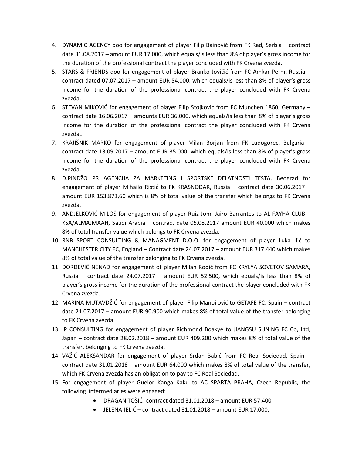- 4. DYNAMIC AGENCY doo for engagement of player Filip Bainović from FK Rad, Serbia contract date 31.08.2017 – amount EUR 17.000, which equals/is less than 8% of player's gross income for the duration of the professional contract the player concluded with FK Crvena zvezda.
- 5. STARS & FRIENDS doo for engagement of player Branko Jovičić from FC Amkar Perm, Russia contract dated 07.07.2017 – amount EUR 54.000, which equals/is less than 8% of player's gross income for the duration of the professional contract the player concluded with FK Crvena zvezda.
- 6. STEVAN MIKOVIĆ for engagement of player Filip Stojković from FC Munchen 1860, Germany contract date 16.06.2017 – amounts EUR 36.000, which equals/is less than 8% of player's gross income for the duration of the professional contract the player concluded with FK Crvena zvezda..
- 7. KRAJIŠNIK MARKO for engagement of player Milan Borjan from FK Ludogorec, Bulgaria contract date 13.09.2017 – amount EUR 35.000, which equals/is less than 8% of player's gross income for the duration of the professional contract the player concluded with FK Crvena zvezda.
- 8. D.PINDŽO PR AGENCIJA ZA MARKETING I SPORTSKE DELATNOSTI TESTA, Beograd for engagement of player Mihailo Ristić to FK KRASNODAR, Russia – contract date 30.06.2017 – amount EUR 153.873,60 which is 8% of total value of the transfer which belongs to FK Crvena zvezda.
- 9. ANDJELKOVIĆ MILOŠ for engagement of player Ruiz John Jairo Barrantes to AL FAYHA CLUB KSA/ALMAJMAAH, Saudi Arabia – contract date 05.08.2017 amount EUR 40.000 which makes 8% of total transfer value which belongs to FK Crvena zvezda.
- 10. RNB SPORT CONSULTING & MANAGMENT D.O.O. for engagement of player Luka Ilić to MANCHESTER CITY FC, England – Contract date 24.07.2017 – amount EUR 317.440 which makes 8% of total value of the transfer belonging to FK Crvena zvezda.
- 11. ĐORĐEVIĆ NENAD for engagement of player Milan Rodić from FC KRYLYA SOVETOV SAMARA, Russia – contract date 24.07.2017 – amount EUR 52.500, which equals/is less than 8% of player's gross income for the duration of the professional contract the player concluded with FK Crvena zvezda.
- 12. MARINA MUTAVDŽIĆ for engagement of player Filip Manojlović to GETAFE FC, Spain contract date 21.07.2017 – amount EUR 90.900 which makes 8% of total value of the transfer belonging to FK Crvena zvezda.
- 13. IP CONSULTING for engagement of player Richmond Boakye to JIANGSU SUNING FC Co, Ltd, Japan – contract date 28.02.2018 – amount EUR 409.200 which makes 8% of total value of the transfer, belonging to FK Crvena zvezda.
- 14. VAŽIĆ ALEKSANDAR for engagement of player Srđan Babić from FC Real Sociedad, Spain contract date 31.01.2018 – amount EUR 64.000 which makes 8% of total value of the transfer, which FK Crvena zvezda has an obligation to pay to FC Real Sociedad.
- 15. For engagement of player Guelor Kanga Kaku to AC SPARTA PRAHA, Czech Republic, the following intermediaries were engaged:
	- $\bullet$  DRAGAN TOŠIĆ- contract dated 31.01.2018 amount EUR 57.400
	- JELENA JELIĆ contract dated  $31.01.2018$  amount EUR 17.000,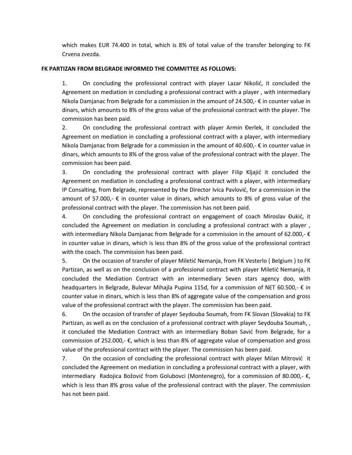which makes EUR 74.400 in total, which is 8% of total value of the transfer belonging to FK Crvena zvezda.

### **FK PARTIZAN FROM BELGRADE INFORMED THE COMMITTEE AS FOLLOWS:**

1. On concluding the professional contract with player Lazar Nikolić, it concluded the Agreement on mediation in concluding a professional contract with a player , with intermediary Nikola Damjanac from Belgrade for a commission in the amount of 24.500,- $\epsilon$  in counter value in dinars, which amounts to 8% of the gross value of the professional contract with the player. The commission has been paid.

2. On concluding the professional contract with player Armin Đerlek, it concluded the Agreement on mediation in concluding a professional contract with a player, with intermediary Nikola Damjanac from Belgrade for a commission in the amount of 40.600,- $\epsilon$  in counter value in dinars, which amounts to 8% of the gross value of the professional contract with the player. The commission has been paid.

3. On concluding the professional contract with player Filip Kljajić it concluded the Agreement on mediation in concluding a professional contract with a player, with intermediary IP Consalting, from Belgrade, represented by the Director Ivica Pavlović, for a commission in the amount of 57.000,-  $\epsilon$  in counter value in dinars, which amounts to 8% of gross value of the professional contract with the player. The commission has not been paid.

4. On concluding the professional contract on engagement of coach Miroslav Đukić, it concluded the Agreement on mediation in concluding a professional contract with a player , with intermediary Nikola Damjanac from Belgrade for a commission in the amount of 62.000,- $\epsilon$ in counter value in dinars, which is less than 8% of the gross value of the professional contract with the coach. The commission has been paid.

5. On the occasion of transfer of player Miletić Nemanja, from FK Vesterlo (Belgium) to FK Partizan, as well as on the conclusion of a professional contract with player Miletić Nemanja, it concluded the Mediation Contract with an intermediary Seven stars agency doo, with headquarters in Belgrade, Bulevar Mihajla Pupina 115d, for a commission of NET 60.500,- € in counter value in dinars, which is less than 8% of aggregate value of the compensation and gross value of the professional contract with the player. The commission has been paid.

6. On the occasion of transfer of player Seydouba Soumah, from FK Slovan (Slovakia) to FK Partizan, as well as on the conclusion of a professional contract with player Seydouba Soumah, , it concluded the Mediation Contract with an intermediary Boban Savić from Belgrade, for a commission of 252.000,- €, which is less than 8% of aggregate value of compensation and gross value of the professional contract with the player. The commission has been paid.

7. On the occasion of concluding the professional contract with player Milan Mitrović it concluded the Agreement on mediation in concluding a professional contract with a player, with intermediary Radojica Božović from Golubovci (Montenegro), for a commission of 80.000,-  $\epsilon$ , which is less than 8% gross value of the professional contract with the player. The commission has not been paid.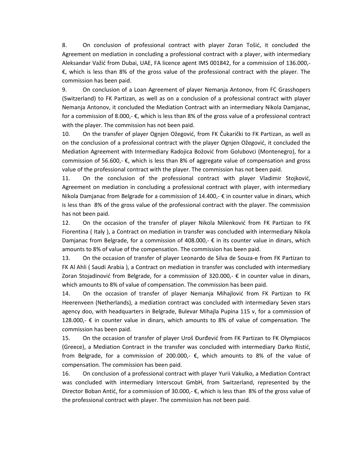8. On conclusion of professional contract with player Zoran Tošić, it concluded the Agreement on mediation in concluding a professional contract with a player, with intermediary Aleksandar Važić from Dubai, UAE, FA licence agent IMS 001842, for a commission of 136.000,-€, which is less than 8% of the gross value of the professional contract with the player. The commission has been paid.

9. On conclusion of a Loan Agreement of player Nemanja Antonov, from FC Grasshopers (Switzerland) to FK Partizan, as well as on a conclusion of a professional contract with player Nemanja Antonov, it concluded the Mediation Contract with an intermediary Nikola Damjanac, for a commission of 8.000,- €, which is less than 8% of the gross value of a professional contract with the player. The commission has not been paid.

10. On the transfer of player Ognjen Ožegović, from FK Čukarički to FK Partizan, as well as on the conclusion of a professional contract with the player Ognjen Ožegović, it concluded the Mediation Agreement with Intermediary Radojica Božović from Golubovci (Montenegro), for a commission of 56.600,-  $\epsilon$ , which is less than 8% of aggregate value of compensation and gross value of the professional contract with the player. The commission has not been paid.

11. On the conclusion of the professional contract with player Vladimir Stojković, Agreement on mediation in concluding a professional contract with player, with intermediary Nikola Damjanac from Belgrade for a commission of 14.400,-  $\epsilon$  in counter value in dinars, which is less than 8% of the gross value of the professional contract with the player. The commission has not been paid.

12. On the occasion of the transfer of player Nikola Milenković from FK Partizan to FK Fiorentina ( Italy ), a Contract on mediation in transfer was concluded with intermediary Nikola Damjanac from Belgrade, for a commission of 408.000,-  $\epsilon$  in its counter value in dinars, which amounts to 8% of value of the compensation. The commission has been paid.

13. On the occasion of transfer of player Leonardo de Silva de Souza-e from FK Partizan to FK Al Ahli ( Saudi Arabia ), a Contract on mediation in transfer was concluded with intermediary Zoran Stojadinović from Belgrade, for a commission of 320.000,- $\epsilon$  in counter value in dinars, which amounts to 8% of value of compensation. The commission has been paid.

14. On the occasion of transfer of player Nemanja Mihajlović from FK Partizan to FK Heerenveen (Netherlands), a mediation contract was concluded with intermediary Seven stars agency doo, with headquarters in Belgrade, Bulevar Mihajla Pupina 115 v, for a commission of 128.000,-  $\epsilon$  in counter value in dinars, which amounts to 8% of value of compensation. The commission has been paid.

15. On the occasion of transfer of player Uroš Đurđevid from FK Partizan to FK Olympiacos (Greece), a Mediation Contract in the transfer was concluded with intermediary Darko Ristić, from Belgrade, for a commission of 200.000,-  $\epsilon$ , which amounts to 8% of the value of compensation. The commission has been paid.

16. On conclusion of a professional contract with player Yurii Vakulko, a Mediation Contract was concluded with intermediary Interscout GmbH, from Switzerland, represented by the Director Boban Antić, for a commission of 30.000,- $\epsilon$ , which is less than 8% of the gross value of the professional contract with player. The commission has not been paid.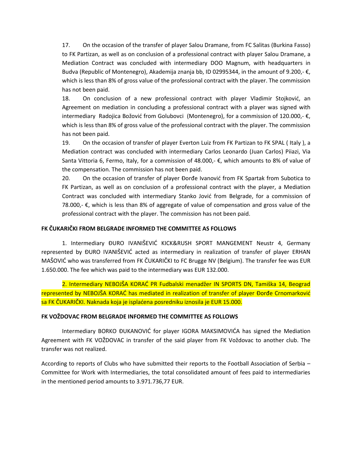17. On the occasion of the transfer of player Salou Dramane, from FC Salitas (Burkina Fasso) to FK Partizan, as well as on conclusion of a professional contract with player Salou Dramane, a Mediation Contract was concluded with intermediary DOO Magnum, with headquarters in Budva (Republic of Montenegro), Akademija znanja bb, ID 02995344, in the amount of 9.200,- €, which is less than 8% of gross value of the professional contract with the player. The commission has not been paid.

18. On conclusion of a new professional contract with player Vladimir Stojković, an Agreement on mediation in concluding a professional contract with a player was signed with intermediary Radojica Božović from Golubovci (Montenegro), for a commission of 120.000,- €, which is less than 8% of gross value of the professional contract with the player. The commission has not been paid.

19. On the occasion of transfer of player Everton Luiz from FK Partizan to FK SPAL ( Italy ), a Mediation contract was concluded with intermediary Carlos Leonardo (Juan Carlos) Piiazi, Via Santa Vittoria 6, Fermo, Italy, for a commission of 48.000,- €, which amounts to 8% of value of the compensation. The commission has not been paid.

20. On the occasion of transfer of player Đorđe Ivanović from FK Spartak from Subotica to FK Partizan, as well as on conclusion of a professional contract with the player, a Mediation Contract was concluded with intermediary Stanko Jović from Belgrade, for a commission of 78.000,-  $\epsilon$ , which is less than 8% of aggregate of value of compensation and gross value of the professional contract with the player. The commission has not been paid.

## **FK ČUKARIČKI FROM BELGRADE INFORMED THE COMMITTEE AS FOLLOWS**

1. Intermediary ĐURO IVANIŠEVIĆ KICK&RUSH SPORT MANGEMENT Neustr 4, Germany represented by ĐURO IVANIŠEVIĆ acted as intermediary in realization of transfer of player ERHAN MAŠOVIĆ who was transferred from FK ČUKARIČKI to FC Brugge NV (Belgium). The transfer fee was EUR 1.650.000. The fee which was paid to the intermediary was EUR 132.000.

2. Intermediary NEBOJŠA KORAĆ PR Fudbalski menadžer IN SPORTS DN, Tamiška 14, Beograd represented by NEBOJŠA KORAĆ has mediated in realization of transfer of player Đorđe Crnomarković sa FK ČUKARIČKI. Naknada koja je isplaćena posredniku iznosila je EUR 15.000.

#### **FK VOŽDOVAC FROM BELGRADE INFORMED THE COMMITTEE AS FOLLOWS**

Intermediary BORKO ĐUKANOVIĆ for player IGORA MAKSIMOVIĆA has signed the Mediation Agreement with FK VOŽDOVAC in transfer of the said player from FK Voždovac to another club. The transfer was not realized.

According to reports of Clubs who have submitted their reports to the Football Association of Serbia – Committee for Work with Intermediaries, the total consolidated amount of fees paid to intermediaries in the mentioned period amounts to 3.971.736,77 EUR.